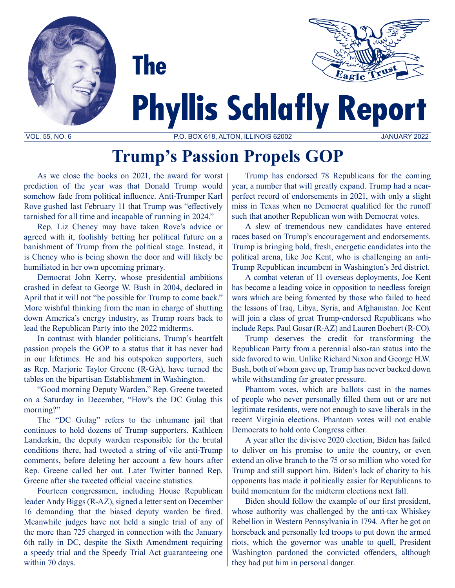



# **Phyllis Schlafly Report**

VOL. 55, NO. 6 P.O. BOX 618, ALTON, ILLINOIS 62002 JANUARY 2022

## **Trump's Passion Propels GOP**

As we close the books on 2021, the award for worst prediction of the year was that Donald Trump would somehow fade from political influence. Anti-Trumper Karl Rove gushed last February 11 that Trump was "effectively tarnished for all time and incapable of running in 2024."

Rep. Liz Cheney may have taken Rove's advice or agreed with it, foolishly betting her political future on a banishment of Trump from the political stage. Instead, it is Cheney who is being shown the door and will likely be humiliated in her own upcoming primary.

Democrat John Kerry, whose presidential ambitions crashed in defeat to George W. Bush in 2004, declared in April that it will not "be possible for Trump to come back." More wishful thinking from the man in charge of shutting down America's energy industry, as Trump roars back to lead the Republican Party into the 2022 midterms.

In contrast with blander politicians, Trump's heartfelt passion propels the GOP to a status that it has never had in our lifetimes. He and his outspoken supporters, such as Rep. Marjorie Taylor Greene (R-GA), have turned the tables on the bipartisan Establishment in Washington.

"Good morning Deputy Warden," Rep. Greene tweeted on a Saturday in December, "How's the DC Gulag this morning?"

The "DC Gulag" refers to the inhumane jail that continues to hold dozens of Trump supporters. Kathleen Landerkin, the deputy warden responsible for the brutal conditions there, had tweeted a string of vile anti-Trump comments, before deleting her account a few hours after Rep. Greene called her out. Later Twitter banned Rep. Greene after she tweeted official vaccine statistics.

Fourteen congressmen, including House Republican leader Andy Biggs (R-AZ), signed a letter sent on December 16 demanding that the biased deputy warden be fired. Meanwhile judges have not held a single trial of any of the more than 725 charged in connection with the January 6th rally in DC, despite the Sixth Amendment requiring a speedy trial and the Speedy Trial Act guaranteeing one within 70 days.

Trump has endorsed 78 Republicans for the coming year, a number that will greatly expand. Trump had a nearperfect record of endorsements in 2021, with only a slight miss in Texas when no Democrat qualified for the runoff such that another Republican won with Democrat votes.

A slew of tremendous new candidates have entered races based on Trump's encouragement and endorsements. Trump is bringing bold, fresh, energetic candidates into the political arena, like Joe Kent, who is challenging an anti-Trump Republican incumbent in Washington's 3rd district.

A combat veteran of 11 overseas deployments, Joe Kent has become a leading voice in opposition to needless foreign wars which are being fomented by those who failed to heed the lessons of Iraq, Libya, Syria, and Afghanistan. Joe Kent will join a class of great Trump-endorsed Republicans who include Reps. Paul Gosar (R-AZ) and Lauren Boebert (R-CO).

Trump deserves the credit for transforming the Republican Party from a perennial also-ran status into the side favored to win. Unlike Richard Nixon and George H.W. Bush, both of whom gave up, Trump has never backed down while withstanding far greater pressure.

Phantom votes, which are ballots cast in the names of people who never personally filled them out or are not legitimate residents, were not enough to save liberals in the recent Virginia elections. Phantom votes will not enable Democrats to hold onto Congress either.

A year after the divisive 2020 election, Biden has failed to deliver on his promise to unite the country, or even extend an olive branch to the 75 or so million who voted for Trump and still support him. Biden's lack of charity to his opponents has made it politically easier for Republicans to build momentum for the midterm elections next fall.

Biden should follow the example of our first president, whose authority was challenged by the anti-tax Whiskey Rebellion in Western Pennsylvania in 1794. After he got on horseback and personally led troops to put down the armed riots, which the governor was unable to quell, President Washington pardoned the convicted offenders, although they had put him in personal danger.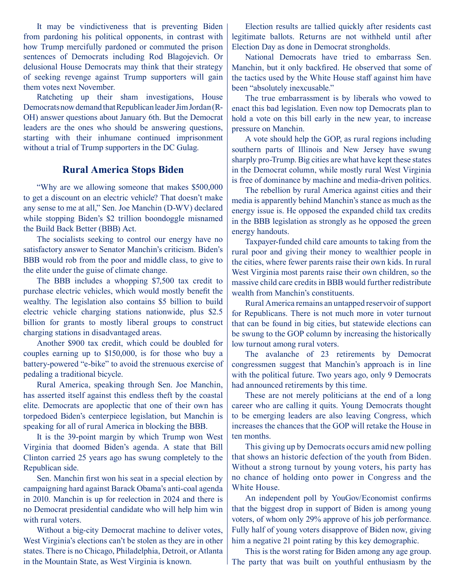It may be vindictiveness that is preventing Biden from pardoning his political opponents, in contrast with how Trump mercifully pardoned or commuted the prison sentences of Democrats including Rod Blagojevich. Or delusional House Democrats may think that their strategy of seeking revenge against Trump supporters will gain them votes next November.

Ratcheting up their sham investigations, House Democrats now demand that Republican leader Jim Jordan (R-OH) answer questions about January 6th. But the Democrat leaders are the ones who should be answering questions, starting with their inhumane continued imprisonment without a trial of Trump supporters in the DC Gulag.

#### **Rural America Stops Biden**

"Why are we allowing someone that makes \$500,000 to get a discount on an electric vehicle? That doesn't make any sense to me at all," Sen. Joe Manchin (D-WV) declared while stopping Biden's \$2 trillion boondoggle misnamed the Build Back Better (BBB) Act.

The socialists seeking to control our energy have no satisfactory answer to Senator Manchin's criticism. Biden's BBB would rob from the poor and middle class, to give to the elite under the guise of climate change.

The BBB includes a whopping \$7,500 tax credit to purchase electric vehicles, which would mostly benefit the wealthy. The legislation also contains \$5 billion to build electric vehicle charging stations nationwide, plus \$2.5 billion for grants to mostly liberal groups to construct charging stations in disadvantaged areas.

Another \$900 tax credit, which could be doubled for couples earning up to \$150,000, is for those who buy a battery-powered "e-bike" to avoid the strenuous exercise of pedaling a traditional bicycle.

Rural America, speaking through Sen. Joe Manchin, has asserted itself against this endless theft by the coastal elite. Democrats are apoplectic that one of their own has torpedoed Biden's centerpiece legislation, but Manchin is speaking for all of rural America in blocking the BBB.

It is the 39-point margin by which Trump won West Virginia that doomed Biden's agenda. A state that Bill Clinton carried 25 years ago has swung completely to the Republican side.

Sen. Manchin first won his seat in a special election by campaigning hard against Barack Obama's anti-coal agenda in 2010. Manchin is up for reelection in 2024 and there is no Democrat presidential candidate who will help him win with rural voters.

Without a big-city Democrat machine to deliver votes, West Virginia's elections can't be stolen as they are in other states. There is no Chicago, Philadelphia, Detroit, or Atlanta in the Mountain State, as West Virginia is known.

Election results are tallied quickly after residents cast legitimate ballots. Returns are not withheld until after Election Day as done in Democrat strongholds.

National Democrats have tried to embarrass Sen. Manchin, but it only backfired. He observed that some of the tactics used by the White House staff against him have been "absolutely inexcusable."

The true embarrassment is by liberals who vowed to enact this bad legislation. Even now top Democrats plan to hold a vote on this bill early in the new year, to increase pressure on Manchin.

A vote should help the GOP, as rural regions including southern parts of Illinois and New Jersey have swung sharply pro-Trump. Big cities are what have kept these states in the Democrat column, while mostly rural West Virginia is free of dominance by machine and media-driven politics.

The rebellion by rural America against cities and their media is apparently behind Manchin's stance as much as the energy issue is. He opposed the expanded child tax credits in the BBB legislation as strongly as he opposed the green energy handouts.

Taxpayer-funded child care amounts to taking from the rural poor and giving their money to wealthier people in the cities, where fewer parents raise their own kids. In rural West Virginia most parents raise their own children, so the massive child care credits in BBB would further redistribute wealth from Manchin's constituents.

Rural America remains an untapped reservoir of support for Republicans. There is not much more in voter turnout that can be found in big cities, but statewide elections can be swung to the GOP column by increasing the historically low turnout among rural voters.

The avalanche of 23 retirements by Democrat congressmen suggest that Manchin's approach is in line with the political future. Two years ago, only 9 Democrats had announced retirements by this time.

These are not merely politicians at the end of a long career who are calling it quits. Young Democrats thought to be emerging leaders are also leaving Congress, which increases the chances that the GOP will retake the House in ten months.

This giving up by Democrats occurs amid new polling that shows an historic defection of the youth from Biden. Without a strong turnout by young voters, his party has no chance of holding onto power in Congress and the White House.

An independent poll by YouGov/Economist confirms that the biggest drop in support of Biden is among young voters, of whom only 29% approve of his job performance. Fully half of young voters disapprove of Biden now, giving him a negative 21 point rating by this key demographic.

This is the worst rating for Biden among any age group. The party that was built on youthful enthusiasm by the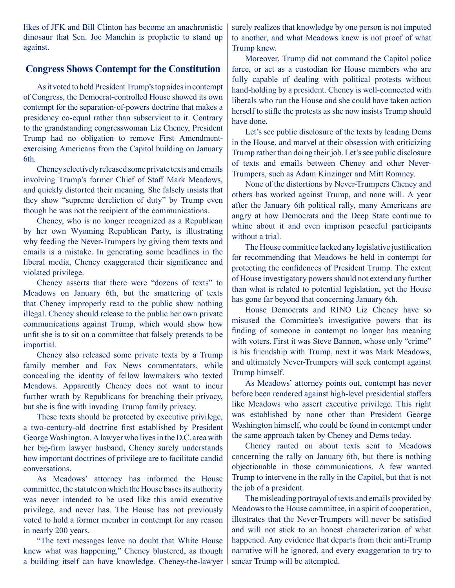likes of JFK and Bill Clinton has become an anachronistic dinosaur that Sen. Joe Manchin is prophetic to stand up against.

### **Congress Shows Contempt for the Constitution**

As it voted to hold President Trump's top aides in contempt of Congress, the Democrat-controlled House showed its own contempt for the separation-of-powers doctrine that makes a presidency co-equal rather than subservient to it. Contrary to the grandstanding congresswoman Liz Cheney, President Trump had no obligation to remove First Amendmentexercising Americans from the Capitol building on January 6th.

Cheney selectively released some private texts and emails involving Trump's former Chief of Staff Mark Meadows, and quickly distorted their meaning. She falsely insists that they show "supreme dereliction of duty" by Trump even though he was not the recipient of the communications.

Cheney, who is no longer recognized as a Republican by her own Wyoming Republican Party, is illustrating why feeding the Never-Trumpers by giving them texts and emails is a mistake. In generating some headlines in the liberal media, Cheney exaggerated their significance and violated privilege.

Cheney asserts that there were "dozens of texts" to Meadows on January 6th, but the smattering of texts that Cheney improperly read to the public show nothing illegal. Cheney should release to the public her own private communications against Trump, which would show how unfit she is to sit on a committee that falsely pretends to be impartial.

Cheney also released some private texts by a Trump family member and Fox News commentators, while concealing the identity of fellow lawmakers who texted Meadows. Apparently Cheney does not want to incur further wrath by Republicans for breaching their privacy, but she is fine with invading Trump family privacy.

These texts should be protected by executive privilege, a two-century-old doctrine first established by President George Washington. A lawyer who lives in the D.C. area with her big-firm lawyer husband, Cheney surely understands how important doctrines of privilege are to facilitate candid conversations.

As Meadows' attorney has informed the House committee, the statute on which the House bases its authority was never intended to be used like this amid executive privilege, and never has. The House has not previously voted to hold a former member in contempt for any reason in nearly 200 years.

"The text messages leave no doubt that White House knew what was happening," Cheney blustered, as though a building itself can have knowledge. Cheney-the-lawyer surely realizes that knowledge by one person is not imputed to another, and what Meadows knew is not proof of what Trump knew.

Moreover, Trump did not command the Capitol police force, or act as a custodian for House members who are fully capable of dealing with political protests without hand-holding by a president. Cheney is well-connected with liberals who run the House and she could have taken action herself to stifle the protests as she now insists Trump should have done.

Let's see public disclosure of the texts by leading Dems in the House, and marvel at their obsession with criticizing Trump rather than doing their job. Let's see public disclosure of texts and emails between Cheney and other Never-Trumpers, such as Adam Kinzinger and Mitt Romney.

None of the distortions by Never-Trumpers Cheney and others has worked against Trump, and none will. A year after the January 6th political rally, many Americans are angry at how Democrats and the Deep State continue to whine about it and even imprison peaceful participants without a trial.

The House committee lacked any legislative justification for recommending that Meadows be held in contempt for protecting the confidences of President Trump. The extent of House investigatory powers should not extend any further than what is related to potential legislation, yet the House has gone far beyond that concerning January 6th.

House Democrats and RINO Liz Cheney have so misused the Committee's investigative powers that its finding of someone in contempt no longer has meaning with voters. First it was Steve Bannon, whose only "crime" is his friendship with Trump, next it was Mark Meadows, and ultimately Never-Trumpers will seek contempt against Trump himself.

As Meadows' attorney points out, contempt has never before been rendered against high-level presidential staffers like Meadows who assert executive privilege. This right was established by none other than President George Washington himself, who could be found in contempt under the same approach taken by Cheney and Dems today.

Cheney ranted on about texts sent to Meadows concerning the rally on January 6th, but there is nothing objectionable in those communications. A few wanted Trump to intervene in the rally in the Capitol, but that is not the job of a president.

The misleading portrayal of texts and emails provided by Meadows to the House committee, in a spirit of cooperation, illustrates that the Never-Trumpers will never be satisfied and will not stick to an honest characterization of what happened. Any evidence that departs from their anti-Trump narrative will be ignored, and every exaggeration to try to smear Trump will be attempted.